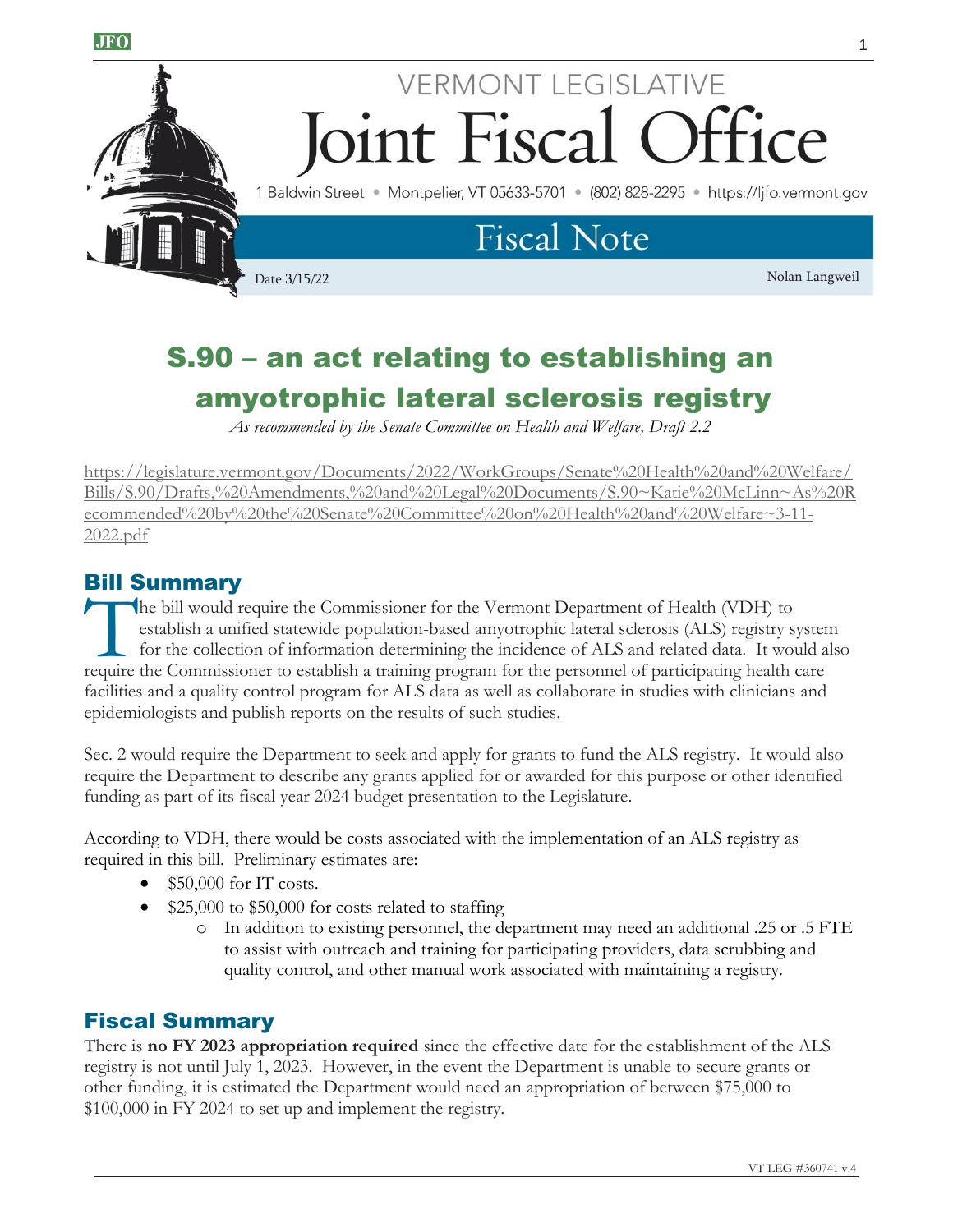

# **VERMONT LEGISLATIVE** Joint Fiscal ce

1 Baldwin Street · Montpelier, VT 05633-5701 · (802) 828-2295 · https://ljfo.vermont.gov

### **Fiscal Note**

Date 3/15/22 Nolan Langweil

## S.90 – an act relating to establishing an amyotrophic lateral sclerosis registry

*As recommended by the Senate Committee on Health and Welfare, Draft 2.2*

[https://legislature.vermont.gov/Documents/2022/WorkGroups/Senate%20Health%20and%20Welfare/](https://legislature.vermont.gov/Documents/2022/WorkGroups/Senate%20Health%20and%20Welfare/Bills/S.90/Drafts,%20Amendments,%20and%20Legal%20Documents/S.90~Katie%20McLinn~As%20Recommended%20by%20the%20Senate%20Committee%20on%20Health%20and%20Welfare~3-11-2022.pdf) [Bills/S.90/Drafts,%20Amendments,%20and%20Legal%20Documents/S.90~Katie%20McLinn~As%20R](https://legislature.vermont.gov/Documents/2022/WorkGroups/Senate%20Health%20and%20Welfare/Bills/S.90/Drafts,%20Amendments,%20and%20Legal%20Documents/S.90~Katie%20McLinn~As%20Recommended%20by%20the%20Senate%20Committee%20on%20Health%20and%20Welfare~3-11-2022.pdf) [ecommended%20by%20the%20Senate%20Committee%20on%20Health%20and%20Welfare~3-11-](https://legislature.vermont.gov/Documents/2022/WorkGroups/Senate%20Health%20and%20Welfare/Bills/S.90/Drafts,%20Amendments,%20and%20Legal%20Documents/S.90~Katie%20McLinn~As%20Recommended%20by%20the%20Senate%20Committee%20on%20Health%20and%20Welfare~3-11-2022.pdf) [2022.pdf](https://legislature.vermont.gov/Documents/2022/WorkGroups/Senate%20Health%20and%20Welfare/Bills/S.90/Drafts,%20Amendments,%20and%20Legal%20Documents/S.90~Katie%20McLinn~As%20Recommended%20by%20the%20Senate%20Committee%20on%20Health%20and%20Welfare~3-11-2022.pdf)

### Bill Summary

he bill would require the Commissioner for the Vermont Department of Health (VDH) to establish a unified statewide population-based amyotrophic lateral sclerosis (ALS) registry system for the collection of information determining the incidence of ALS and related data. It would also The bill would require the Commissioner for the Vermont Department of Health (VDH) to establish a unified statewide population-based amyotrophic lateral sclerosis (ALS) registry system for the collection of information det facilities and a quality control program for ALS data as well as collaborate in studies with clinicians and epidemiologists and publish reports on the results of such studies.

Sec. 2 would require the Department to seek and apply for grants to fund the ALS registry. It would also require the Department to describe any grants applied for or awarded for this purpose or other identified funding as part of its fiscal year 2024 budget presentation to the Legislature.

According to VDH, there would be costs associated with the implementation of an ALS registry as required in this bill. Preliminary estimates are:

- $\bullet$  \$50,000 for IT costs.
- \$25,000 to \$50,000 for costs related to staffing
	- o In addition to existing personnel, the department may need an additional .25 or .5 FTE to assist with outreach and training for participating providers, data scrubbing and quality control, and other manual work associated with maintaining a registry.

### Fiscal Summary

There is **no FY 2023 appropriation required** since the effective date for the establishment of the ALS registry is not until July 1, 2023. However, in the event the Department is unable to secure grants or other funding, it is estimated the Department would need an appropriation of between \$75,000 to \$100,000 in FY 2024 to set up and implement the registry.